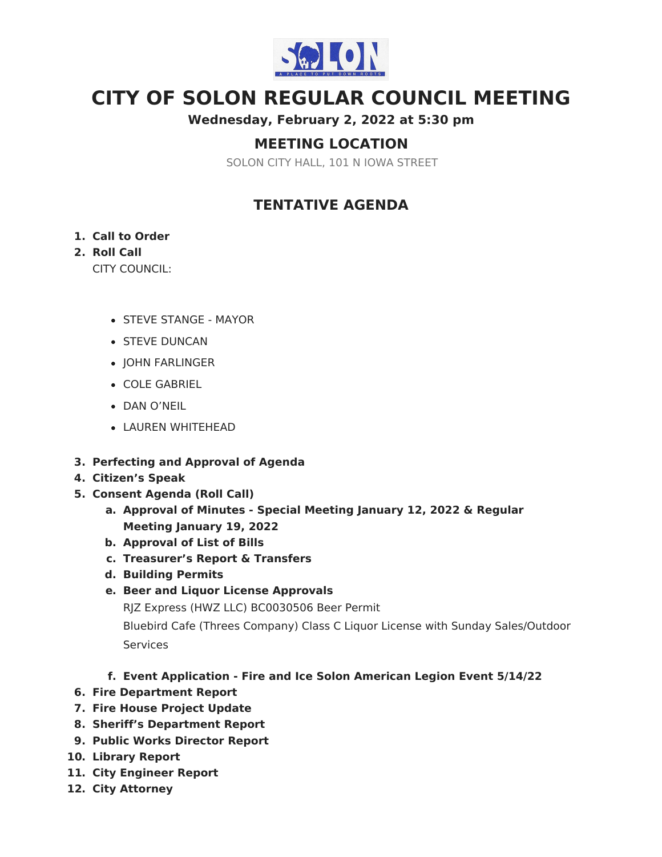

# **CITY OF SOLON REGULAR COUNCIL MEETING**

**Wednesday, February 2, 2022 at 5:30 pm**

# **MEETING LOCATION**

SOLON CITY HALL, 101 N IOWA STREET

## **TENTATIVE AGENDA**

#### **1. Call to Order**

### **2. Roll Call**

CITY COUNCIL:

- STEVE STANGE MAYOR
- **STEVE DUNCAN**
- JOHN FARLINGER
- COLE GABRIEL
- DAN O'NEIL
- LAUREN WHITEHEAD
- **3. Perfecting and Approval of Agenda**
- **4. Citizen's Speak**
- **5. Consent Agenda (Roll Call)**
	- **a. Approval of Minutes - Special Meeting January 12, 2022 & Regular Meeting January 19, 2022**
	- **b. Approval of List of Bills**
	- **c. Treasurer's Report & Transfers**
	- **d. Building Permits**
	- **e. Beer and Liquor License Approvals**

RJZ Express (HWZ LLC) BC0030506 Beer Permit

Bluebird Cafe (Threes Company) Class C Liquor License with Sunday Sales/Outdoor **Services** 

### **f. Event Application - Fire and Ice Solon American Legion Event 5/14/22**

- **6. Fire Department Report**
- **7. Fire House Project Update**
- **8. Sheriff's Department Report**
- **9. Public Works Director Report**
- **10. Library Report**
- **11. City Engineer Report**
- **12. City Attorney**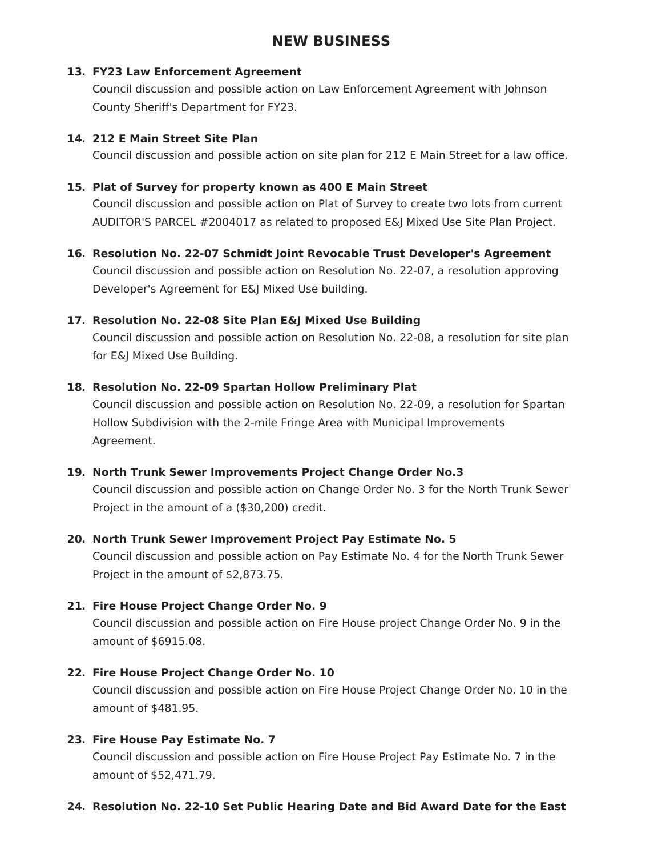# **NEW BUSINESS**

#### **13. FY23 Law Enforcement Agreement**

Council discussion and possible action on Law Enforcement Agreement with Johnson County Sheriff's Department for FY23.

#### **14. 212 E Main Street Site Plan**

Council discussion and possible action on site plan for 212 E Main Street for a law office.

#### **15. Plat of Survey for property known as 400 E Main Street**

Council discussion and possible action on Plat of Survey to create two lots from current AUDITOR'S PARCEL #2004017 as related to proposed E&J Mixed Use Site Plan Project.

# **16. Resolution No. 22-07 Schmidt Joint Revocable Trust Developer's Agreement**

Council discussion and possible action on Resolution No. 22-07, a resolution approving Developer's Agreement for E&J Mixed Use building.

#### **17. Resolution No. 22-08 Site Plan E&J Mixed Use Building**

Council discussion and possible action on Resolution No. 22-08, a resolution for site plan for E&J Mixed Use Building.

#### **18. Resolution No. 22-09 Spartan Hollow Preliminary Plat**

Council discussion and possible action on Resolution No. 22-09, a resolution for Spartan Hollow Subdivision with the 2-mile Fringe Area with Municipal Improvements Agreement.

#### **19. North Trunk Sewer Improvements Project Change Order No.3**

Council discussion and possible action on Change Order No. 3 for the North Trunk Sewer Project in the amount of a (\$30,200) credit.

#### **20. North Trunk Sewer Improvement Project Pay Estimate No. 5**

Council discussion and possible action on Pay Estimate No. 4 for the North Trunk Sewer Project in the amount of \$2,873.75.

#### **21. Fire House Project Change Order No. 9**

Council discussion and possible action on Fire House project Change Order No. 9 in the amount of \$6915.08.

#### **22. Fire House Project Change Order No. 10**

Council discussion and possible action on Fire House Project Change Order No. 10 in the amount of \$481.95.

#### **23. Fire House Pay Estimate No. 7**

Council discussion and possible action on Fire House Project Pay Estimate No. 7 in the amount of \$52,471.79.

#### **24. Resolution No. 22-10 Set Public Hearing Date and Bid Award Date for the East**